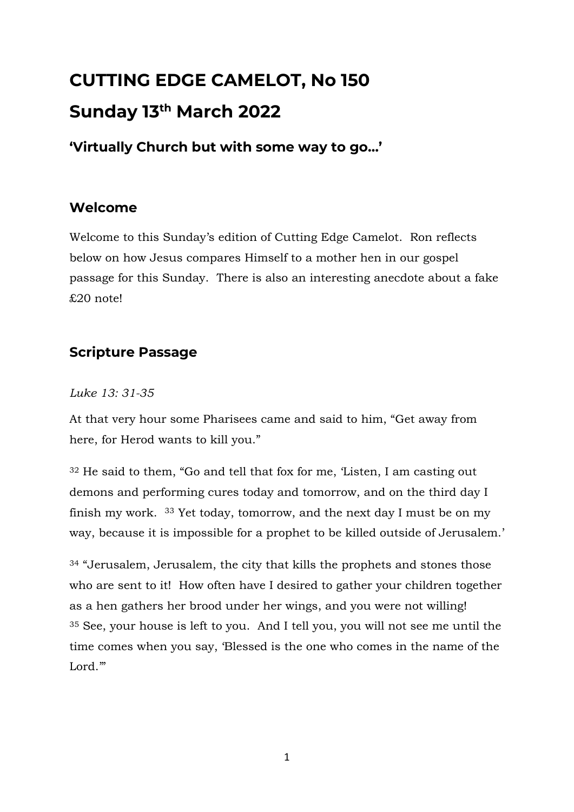# **CUTTING EDGE CAMELOT, No 150 Sunday 13th March 2022**

**'Virtually Church but with some way to go…'**

## **Welcome**

Welcome to this Sunday's edition of Cutting Edge Camelot. Ron reflects below on how Jesus compares Himself to a mother hen in our gospel passage for this Sunday. There is also an interesting anecdote about a fake £20 note!

# **Scripture Passage**

## *Luke 13: 31-35*

At that very hour some Pharisees came and said to him, "Get away from here, for Herod wants to kill you."

<sup>32</sup> He said to them, "Go and tell that fox for me, 'Listen, I am casting out demons and performing cures today and tomorrow, and on the third day I finish my work. <sup>33</sup> Yet today, tomorrow, and the next day I must be on my way, because it is impossible for a prophet to be killed outside of Jerusalem.'

<sup>34</sup> "Jerusalem, Jerusalem, the city that kills the prophets and stones those who are sent to it! How often have I desired to gather your children together as a hen gathers her brood under her wings, and you were not willing! <sup>35</sup> See, your house is left to you. And I tell you, you will not see me until the time comes when you say, 'Blessed is the one who comes in the name of the Lord.'"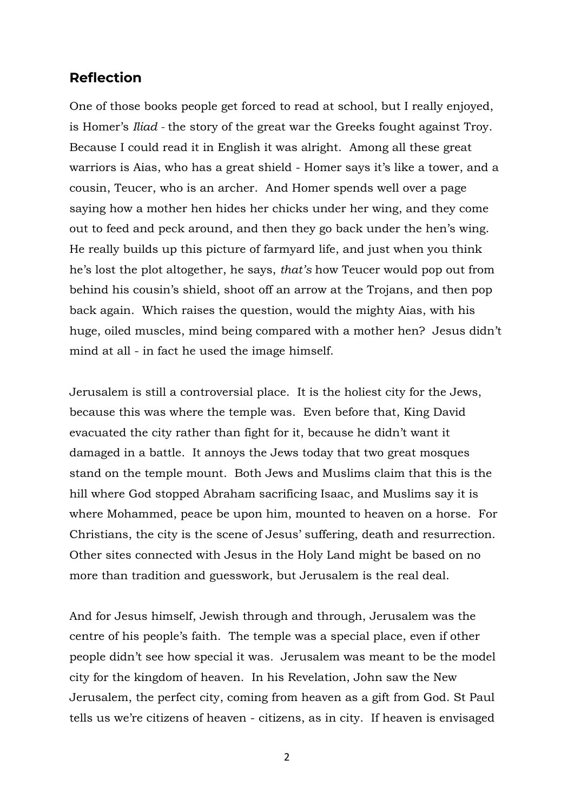### **Reflection**

One of those books people get forced to read at school, but I really enjoyed, is Homer's *Iliad -* the story of the great war the Greeks fought against Troy. Because I could read it in English it was alright. Among all these great warriors is Aias, who has a great shield - Homer says it's like a tower, and a cousin, Teucer, who is an archer. And Homer spends well over a page saying how a mother hen hides her chicks under her wing, and they come out to feed and peck around, and then they go back under the hen's wing. He really builds up this picture of farmyard life, and just when you think he's lost the plot altogether, he says, *that's* how Teucer would pop out from behind his cousin's shield, shoot off an arrow at the Trojans, and then pop back again. Which raises the question, would the mighty Aias, with his huge, oiled muscles, mind being compared with a mother hen? Jesus didn't mind at all - in fact he used the image himself.

Jerusalem is still a controversial place. It is the holiest city for the Jews, because this was where the temple was. Even before that, King David evacuated the city rather than fight for it, because he didn't want it damaged in a battle. It annoys the Jews today that two great mosques stand on the temple mount. Both Jews and Muslims claim that this is the hill where God stopped Abraham sacrificing Isaac, and Muslims say it is where Mohammed, peace be upon him, mounted to heaven on a horse. For Christians, the city is the scene of Jesus' suffering, death and resurrection. Other sites connected with Jesus in the Holy Land might be based on no more than tradition and guesswork, but Jerusalem is the real deal.

And for Jesus himself, Jewish through and through, Jerusalem was the centre of his people's faith. The temple was a special place, even if other people didn't see how special it was*.* Jerusalem was meant to be the model city for the kingdom of heaven. In his Revelation, John saw the New Jerusalem, the perfect city, coming from heaven as a gift from God. St Paul tells us we're citizens of heaven - citizens, as in city. If heaven is envisaged

2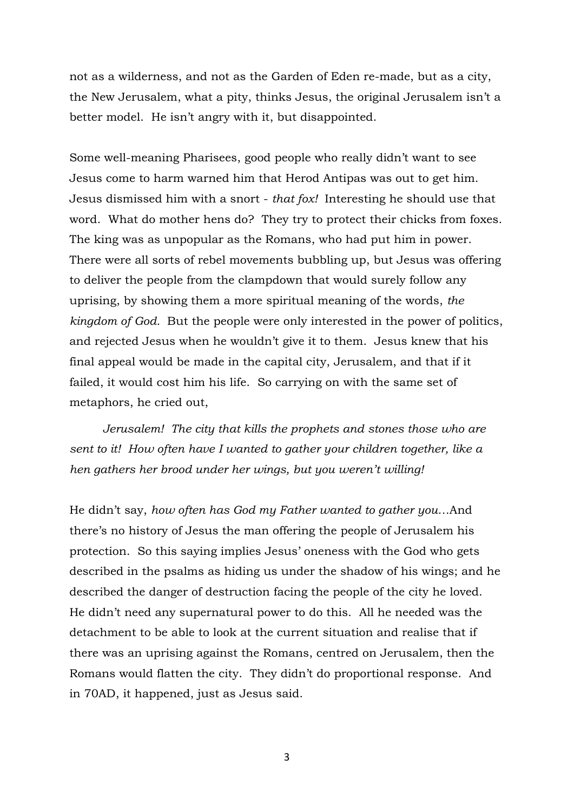not as a wilderness, and not as the Garden of Eden re-made, but as a city, the New Jerusalem, what a pity, thinks Jesus, the original Jerusalem isn't a better model. He isn't angry with it, but disappointed.

Some well-meaning Pharisees, good people who really didn't want to see Jesus come to harm warned him that Herod Antipas was out to get him. Jesus dismissed him with a snort - *that fox!* Interesting he should use that word. What do mother hens do? They try to protect their chicks from foxes. The king was as unpopular as the Romans, who had put him in power. There were all sorts of rebel movements bubbling up, but Jesus was offering to deliver the people from the clampdown that would surely follow any uprising, by showing them a more spiritual meaning of the words, *the kingdom of God.* But the people were only interested in the power of politics, and rejected Jesus when he wouldn't give it to them. Jesus knew that his final appeal would be made in the capital city, Jerusalem, and that if it failed, it would cost him his life. So carrying on with the same set of metaphors, he cried out,

 *Jerusalem! The city that kills the prophets and stones those who are sent to it! How often have I wanted to gather your children together, like a hen gathers her brood under her wings, but you weren't willing!*

He didn't say, *how often has God my Father wanted to gather you…*And there's no history of Jesus the man offering the people of Jerusalem his protection. So this saying implies Jesus' oneness with the God who gets described in the psalms as hiding us under the shadow of his wings; and he described the danger of destruction facing the people of the city he loved. He didn't need any supernatural power to do this. All he needed was the detachment to be able to look at the current situation and realise that if there was an uprising against the Romans, centred on Jerusalem, then the Romans would flatten the city. They didn't do proportional response. And in 70AD, it happened, just as Jesus said.

3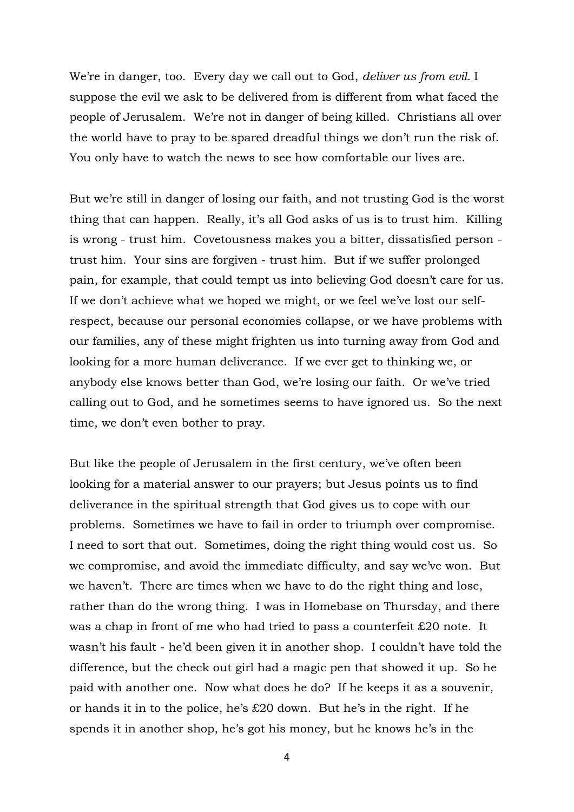We're in danger, too. Every day we call out to God, *deliver us from evil.* I suppose the evil we ask to be delivered from is different from what faced the people of Jerusalem. We're not in danger of being killed. Christians all over the world have to pray to be spared dreadful things we don't run the risk of. You only have to watch the news to see how comfortable our lives are.

But we're still in danger of losing our faith, and not trusting God is the worst thing that can happen. Really, it's all God asks of us is to trust him. Killing is wrong - trust him. Covetousness makes you a bitter, dissatisfied person trust him. Your sins are forgiven - trust him. But if we suffer prolonged pain, for example, that could tempt us into believing God doesn't care for us. If we don't achieve what we hoped we might, or we feel we've lost our selfrespect, because our personal economies collapse, or we have problems with our families, any of these might frighten us into turning away from God and looking for a more human deliverance. If we ever get to thinking we, or anybody else knows better than God, we're losing our faith. Or we've tried calling out to God, and he sometimes seems to have ignored us. So the next time, we don't even bother to pray.

But like the people of Jerusalem in the first century, we've often been looking for a material answer to our prayers; but Jesus points us to find deliverance in the spiritual strength that God gives us to cope with our problems. Sometimes we have to fail in order to triumph over compromise. I need to sort that out. Sometimes, doing the right thing would cost us. So we compromise, and avoid the immediate difficulty, and say we've won. But we haven't. There are times when we have to do the right thing and lose, rather than do the wrong thing. I was in Homebase on Thursday, and there was a chap in front of me who had tried to pass a counterfeit £20 note. It wasn't his fault - he'd been given it in another shop. I couldn't have told the difference, but the check out girl had a magic pen that showed it up. So he paid with another one. Now what does he do? If he keeps it as a souvenir, or hands it in to the police, he's £20 down. But he's in the right. If he spends it in another shop, he's got his money, but he knows he's in the

4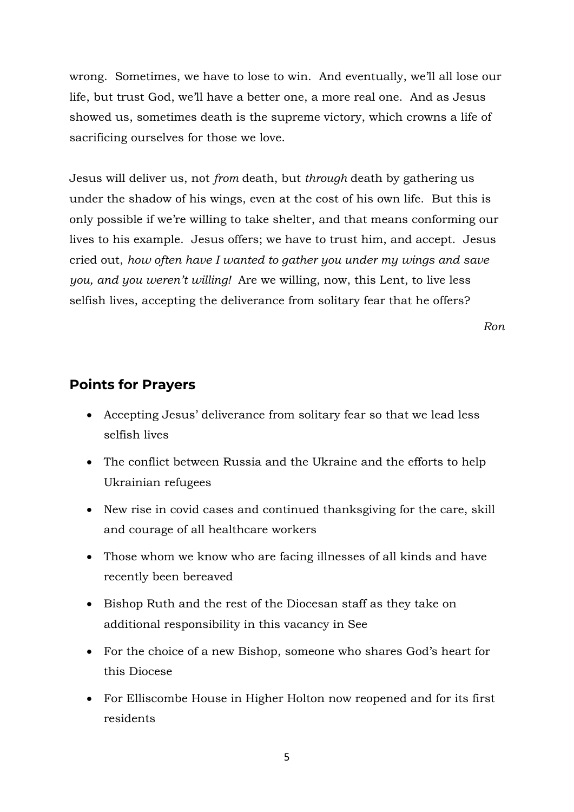wrong. Sometimes, we have to lose to win. And eventually, we'll all lose our life, but trust God, we'll have a better one, a more real one. And as Jesus showed us, sometimes death is the supreme victory, which crowns a life of sacrificing ourselves for those we love.

Jesus will deliver us, not *from* death, but *through* death by gathering us under the shadow of his wings, even at the cost of his own life. But this is only possible if we're willing to take shelter, and that means conforming our lives to his example. Jesus offers; we have to trust him, and accept. Jesus cried out, *how often have I wanted to gather you under my wings and save you, and you weren't willing!* Are we willing, now, this Lent, to live less selfish lives, accepting the deliverance from solitary fear that he offers?

*Ron*

#### **Points for Prayers**

- Accepting Jesus' deliverance from solitary fear so that we lead less selfish lives
- The conflict between Russia and the Ukraine and the efforts to help Ukrainian refugees
- New rise in covid cases and continued thanks giving for the care, skill and courage of all healthcare workers
- Those whom we know who are facing illnesses of all kinds and have recently been bereaved
- Bishop Ruth and the rest of the Diocesan staff as they take on additional responsibility in this vacancy in See
- For the choice of a new Bishop, someone who shares God's heart for this Diocese
- For Elliscombe House in Higher Holton now reopened and for its first residents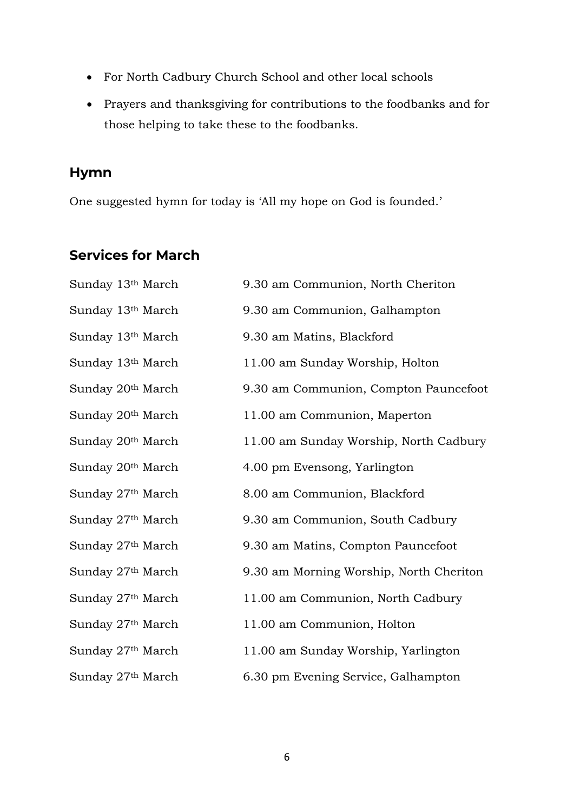- For North Cadbury Church School and other local schools
- Prayers and thanksgiving for contributions to the foodbanks and for those helping to take these to the foodbanks.

## **Hymn**

One suggested hymn for today is 'All my hope on God is founded.'

# **Services for March**

| Sunday 13th March             | 9.30 am Communion, North Cheriton       |
|-------------------------------|-----------------------------------------|
| Sunday 13th March             | 9.30 am Communion, Galhampton           |
| Sunday 13th March             | 9.30 am Matins, Blackford               |
| Sunday 13 <sup>th</sup> March | 11.00 am Sunday Worship, Holton         |
| Sunday 20 <sup>th</sup> March | 9.30 am Communion, Compton Pauncefoot   |
| Sunday 20 <sup>th</sup> March | 11.00 am Communion, Maperton            |
| Sunday 20 <sup>th</sup> March | 11.00 am Sunday Worship, North Cadbury  |
| Sunday 20 <sup>th</sup> March | 4.00 pm Evensong, Yarlington            |
| Sunday 27 <sup>th</sup> March | 8.00 am Communion, Blackford            |
| Sunday 27 <sup>th</sup> March | 9.30 am Communion, South Cadbury        |
| Sunday 27th March             | 9.30 am Matins, Compton Pauncefoot      |
| Sunday 27 <sup>th</sup> March | 9.30 am Morning Worship, North Cheriton |
| Sunday 27th March             | 11.00 am Communion, North Cadbury       |
| Sunday 27th March             | 11.00 am Communion, Holton              |
| Sunday 27 <sup>th</sup> March | 11.00 am Sunday Worship, Yarlington     |
| Sunday 27th March             | 6.30 pm Evening Service, Galhampton     |